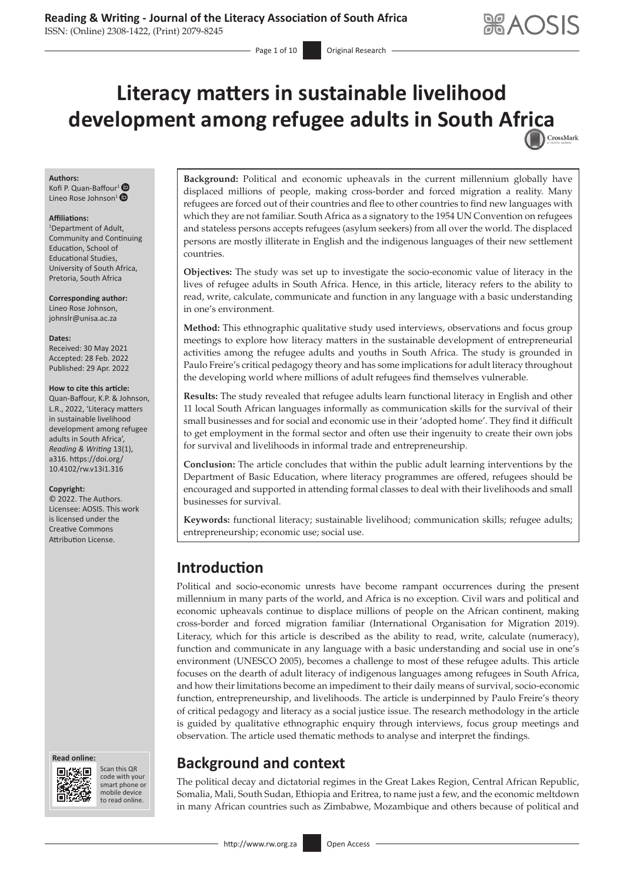# **Literacy matters in sustainable livelihood development among refugee adults in South Af[rica](http://crossmark.crossref.org/dialog/?doi=10.4102/rw.v13i1.316=pdf&date_stamp=2022-04-29)** CrossMark

#### **Authors:**

Kofi P. Quan-Baffour<sup>[1](https://orcid.org/0000-0002-7290-8590)</sup> Lineo Rose Johnson<sup>[1](https://orcid.org/0000-0003-3129-2088)</sup>  $\bullet$ 

#### **Affiliations:**

1 Department of Adult, Community and Continuing Education, School of Educational Studies, University of South Africa, Pretoria, South Africa

**Corresponding author:** Lineo Rose Johnson, [johnslr@unisa.ac.za](mailto:johnslr@unisa.ac.za)

#### **Dates:**

Received: 30 May 2021 Accepted: 28 Feb. 2022 Published: 29 Apr. 2022

#### **How to cite this article:**

Quan-Baffour, K.P. & Johnson, L.R., 2022, 'Literacy matters in sustainable livelihood development among refugee adults in South Africa', *Reading & Writing* 13(1), a316. [https://doi.org/](https://doi.org/10.4102/rw.v13i1.316) [10.4102/rw.v13i1.316](https://doi.org/10.4102/rw.v13i1.316)

#### **Copyright:**

© 2022. The Authors. Licensee: AOSIS. This work is licensed under the Creative Commons Attribution License.





Scan this QR code with your Scan this QR<br>code with your<br>smart phone or<br>mobile device mobile device to read online. to read online.

**Background:** Political and economic upheavals in the current millennium globally have displaced millions of people, making cross-border and forced migration a reality. Many refugees are forced out of their countries and flee to other countries to find new languages with which they are not familiar. South Africa as a signatory to the 1954 UN Convention on refugees and stateless persons accepts refugees (asylum seekers) from all over the world. The displaced persons are mostly illiterate in English and the indigenous languages of their new settlement countries.

**Objectives:** The study was set up to investigate the socio-economic value of literacy in the lives of refugee adults in South Africa. Hence, in this article, literacy refers to the ability to read, write, calculate, communicate and function in any language with a basic understanding in one's environment.

**Method:** This ethnographic qualitative study used interviews, observations and focus group meetings to explore how literacy matters in the sustainable development of entrepreneurial activities among the refugee adults and youths in South Africa. The study is grounded in Paulo Freire's critical pedagogy theory and has some implications for adult literacy throughout the developing world where millions of adult refugees find themselves vulnerable.

**Results:** The study revealed that refugee adults learn functional literacy in English and other 11 local South African languages informally as communication skills for the survival of their small businesses and for social and economic use in their 'adopted home'. They find it difficult to get employment in the formal sector and often use their ingenuity to create their own jobs for survival and livelihoods in informal trade and entrepreneurship.

**Conclusion:** The article concludes that within the public adult learning interventions by the Department of Basic Education, where literacy programmes are offered, refugees should be encouraged and supported in attending formal classes to deal with their livelihoods and small businesses for survival.

**Keywords:** functional literacy; sustainable livelihood; communication skills; refugee adults; entrepreneurship; economic use; social use.

## **Introduction**

Political and socio-economic unrests have become rampant occurrences during the present millennium in many parts of the world, and Africa is no exception. Civil wars and political and economic upheavals continue to displace millions of people on the African continent, making cross-border and forced migration familiar (International Organisation for Migration 2019). Literacy, which for this article is described as the ability to read, write, calculate (numeracy), function and communicate in any language with a basic understanding and social use in one's environment (UNESCO 2005), becomes a challenge to most of these refugee adults. This article focuses on the dearth of adult literacy of indigenous languages among refugees in South Africa, and how their limitations become an impediment to their daily means of survival, socio-economic function, entrepreneurship, and livelihoods. The article is underpinned by Paulo Freire's theory of critical pedagogy and literacy as a social justice issue. The research methodology in the article is guided by qualitative ethnographic enquiry through interviews, focus group meetings and observation. The article used thematic methods to analyse and interpret the findings.

## **Background and context**

The political decay and dictatorial regimes in the Great Lakes Region, Central African Republic, Somalia, Mali, South Sudan, Ethiopia and Eritrea, to name just a few, and the economic meltdown in many African countries such as Zimbabwe, Mozambique and others because of political and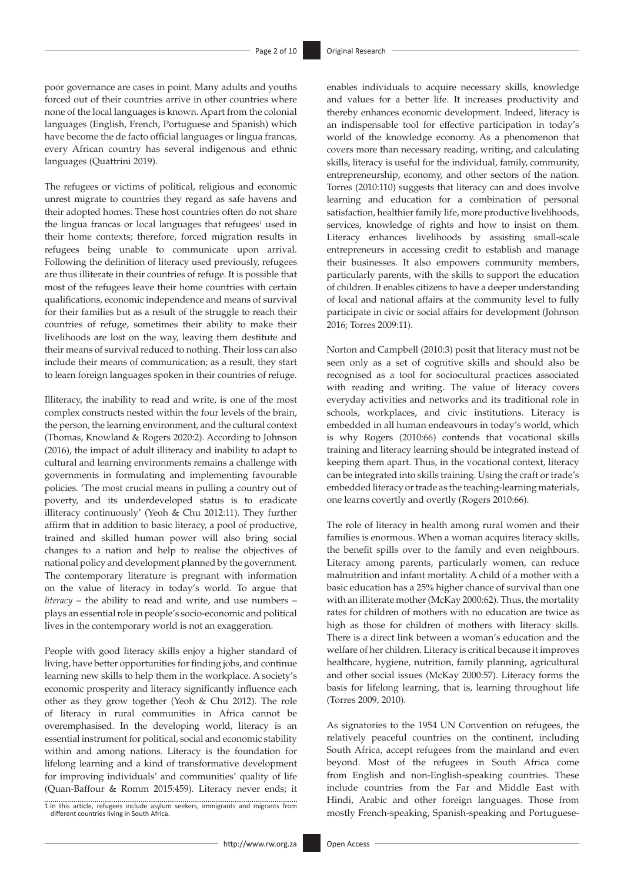poor governance are cases in point. Many adults and youths forced out of their countries arrive in other countries where none of the local languages is known. Apart from the colonial languages (English, French, Portuguese and Spanish) which have become the de facto official languages or lingua francas*,* every African country has several indigenous and ethnic languages (Quattrini 2019).

The refugees or victims of political, religious and economic unrest migrate to countries they regard as safe havens and their adopted homes. These host countries often do not share the lingua francas or local languages that refugees<sup>1</sup> used in their home contexts; therefore, forced migration results in refugees being unable to communicate upon arrival. Following the definition of literacy used previously, refugees are thus illiterate in their countries of refuge. It is possible that most of the refugees leave their home countries with certain qualifications, economic independence and means of survival for their families but as a result of the struggle to reach their countries of refuge, sometimes their ability to make their livelihoods are lost on the way, leaving them destitute and their means of survival reduced to nothing. Their loss can also include their means of communication; as a result, they start to learn foreign languages spoken in their countries of refuge.

Illiteracy, the inability to read and write, is one of the most complex constructs nested within the four levels of the brain, the person, the learning environment, and the cultural context (Thomas, Knowland & Rogers 2020:2). According to Johnson (2016), the impact of adult illiteracy and inability to adapt to cultural and learning environments remains a challenge with governments in formulating and implementing favourable policies. 'The most crucial means in pulling a country out of poverty, and its underdeveloped status is to eradicate illiteracy continuously' (Yeoh & Chu 2012:11). They further affirm that in addition to basic literacy, a pool of productive, trained and skilled human power will also bring social changes to a nation and help to realise the objectives of national policy and development planned by the government. The contemporary literature is pregnant with information on the value of literacy in today's world. To argue that *literacy* – the ability to read and write, and use numbers – plays an essential role in people's socio-economic and political lives in the contemporary world is not an exaggeration.

People with good literacy skills enjoy a higher standard of living, have better opportunities for finding jobs, and continue learning new skills to help them in the workplace. A society's economic prosperity and literacy significantly influence each other as they grow together (Yeoh & Chu 2012). The role of literacy in rural communities in Africa cannot be overemphasised. In the developing world, literacy is an essential instrument for political, social and economic stability within and among nations. Literacy is the foundation for lifelong learning and a kind of transformative development for improving individuals' and communities' quality of life (Quan-Baffour & Romm 2015:459). Literacy never ends; it

1.In this article, refugees include asylum seekers, immigrants and migrants from different countries living in South Africa.

enables individuals to acquire necessary skills, knowledge and values for a better life. It increases productivity and thereby enhances economic development. Indeed, literacy is an indispensable tool for effective participation in today's world of the knowledge economy. As a phenomenon that covers more than necessary reading, writing, and calculating skills, literacy is useful for the individual, family, community, entrepreneurship, economy, and other sectors of the nation. Torres (2010:110) suggests that literacy can and does involve learning and education for a combination of personal satisfaction, healthier family life, more productive livelihoods, services, knowledge of rights and how to insist on them. Literacy enhances livelihoods by assisting small-scale entrepreneurs in accessing credit to establish and manage their businesses. It also empowers community members, particularly parents, with the skills to support the education of children. It enables citizens to have a deeper understanding of local and national affairs at the community level to fully participate in civic or social affairs for development (Johnson 2016; Torres 2009:11).

Norton and Campbell (2010:3) posit that literacy must not be seen only as a set of cognitive skills and should also be recognised as a tool for sociocultural practices associated with reading and writing. The value of literacy covers everyday activities and networks and its traditional role in schools, workplaces, and civic institutions. Literacy is embedded in all human endeavours in today's world, which is why Rogers (2010:66) contends that vocational skills training and literacy learning should be integrated instead of keeping them apart. Thus, in the vocational context, literacy can be integrated into skills training. Using the craft or trade's embedded literacy or trade as the teaching-learning materials, one learns covertly and overtly (Rogers 2010:66).

The role of literacy in health among rural women and their families is enormous. When a woman acquires literacy skills, the benefit spills over to the family and even neighbours. Literacy among parents, particularly women, can reduce malnutrition and infant mortality. A child of a mother with a basic education has a 25% higher chance of survival than one with an illiterate mother (McKay 2000:62). Thus, the mortality rates for children of mothers with no education are twice as high as those for children of mothers with literacy skills. There is a direct link between a woman's education and the welfare of her children. Literacy is critical because it improves healthcare, hygiene, nutrition, family planning, agricultural and other social issues (McKay 2000:57). Literacy forms the basis for lifelong learning, that is, learning throughout life (Torres 2009, 2010).

As signatories to the 1954 UN Convention on refugees, the relatively peaceful countries on the continent, including South Africa, accept refugees from the mainland and even beyond. Most of the refugees in South Africa come from English and non-English-speaking countries. These include countries from the Far and Middle East with Hindi, Arabic and other foreign languages. Those from mostly French-speaking, Spanish-speaking and Portuguese-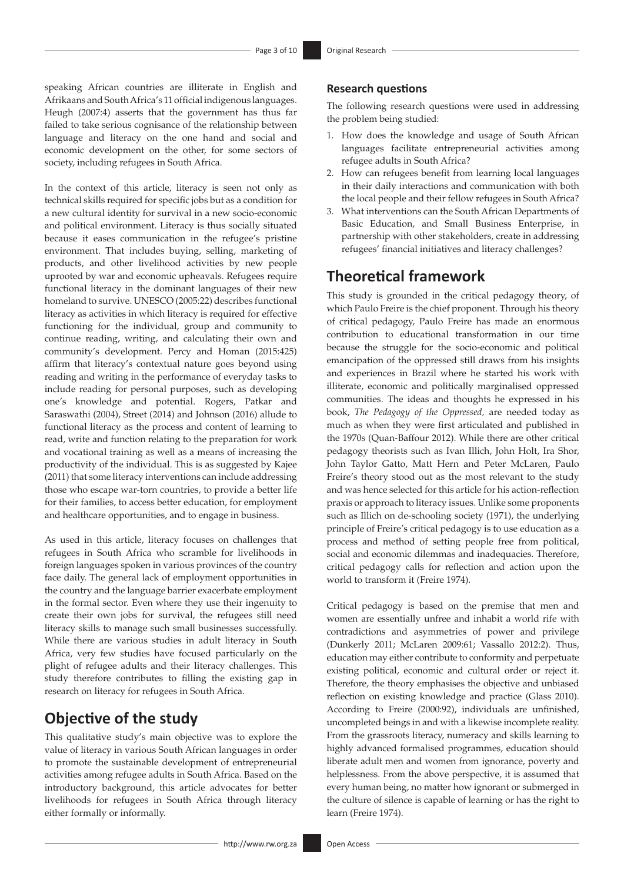speaking African countries are illiterate in English and Afrikaans and South Africa's 11 official indigenous languages. Heugh (2007:4) asserts that the government has thus far failed to take serious cognisance of the relationship between language and literacy on the one hand and social and economic development on the other, for some sectors of society, including refugees in South Africa.

In the context of this article, literacy is seen not only as technical skills required for specific jobs but as a condition for a new cultural identity for survival in a new socio-economic and political environment. Literacy is thus socially situated because it eases communication in the refugee's pristine environment. That includes buying, selling, marketing of products, and other livelihood activities by new people uprooted by war and economic upheavals. Refugees require functional literacy in the dominant languages of their new homeland to survive. UNESCO (2005:22) describes functional literacy as activities in which literacy is required for effective functioning for the individual, group and community to continue reading, writing, and calculating their own and community's development. Percy and Homan (2015:425) affirm that literacy's contextual nature goes beyond using reading and writing in the performance of everyday tasks to include reading for personal purposes, such as developing one's knowledge and potential. Rogers, Patkar and Saraswathi (2004), Street (2014) and Johnson (2016) allude to functional literacy as the process and content of learning to read, write and function relating to the preparation for work and vocational training as well as a means of increasing the productivity of the individual. This is as suggested by Kajee (2011) that some literacy interventions can include addressing those who escape war-torn countries, to provide a better life for their families, to access better education, for employment and healthcare opportunities, and to engage in business.

As used in this article, literacy focuses on challenges that refugees in South Africa who scramble for livelihoods in foreign languages spoken in various provinces of the country face daily. The general lack of employment opportunities in the country and the language barrier exacerbate employment in the formal sector. Even where they use their ingenuity to create their own jobs for survival, the refugees still need literacy skills to manage such small businesses successfully. While there are various studies in adult literacy in South Africa, very few studies have focused particularly on the plight of refugee adults and their literacy challenges. This study therefore contributes to filling the existing gap in research on literacy for refugees in South Africa.

## **Objective of the study**

This qualitative study's main objective was to explore the value of literacy in various South African languages in order to promote the sustainable development of entrepreneurial activities among refugee adults in South Africa. Based on the introductory background, this article advocates for better livelihoods for refugees in South Africa through literacy either formally or informally.

#### **Research questions**

The following research questions were used in addressing the problem being studied:

- 1. How does the knowledge and usage of South African languages facilitate entrepreneurial activities among refugee adults in South Africa?
- 2. How can refugees benefit from learning local languages in their daily interactions and communication with both the local people and their fellow refugees in South Africa?
- 3. What interventions can the South African Departments of Basic Education, and Small Business Enterprise, in partnership with other stakeholders, create in addressing refugees' financial initiatives and literacy challenges?

## **Theoretical framework**

This study is grounded in the critical pedagogy theory, of which Paulo Freire is the chief proponent. Through his theory of critical pedagogy, Paulo Freire has made an enormous contribution to educational transformation in our time because the struggle for the socio-economic and political emancipation of the oppressed still draws from his insights and experiences in Brazil where he started his work with illiterate, economic and politically marginalised oppressed communities. The ideas and thoughts he expressed in his book, *The Pedagogy of the Oppressed,* are needed today as much as when they were first articulated and published in the 1970s (Quan-Baffour 2012). While there are other critical pedagogy theorists such as Ivan Illich, John Holt, Ira Shor, John Taylor Gatto, Matt Hern and Peter McLaren, Paulo Freire's theory stood out as the most relevant to the study and was hence selected for this article for his action-reflection praxis or approach to literacy issues. Unlike some proponents such as Illich on de-schooling society (1971), the underlying principle of Freire's critical pedagogy is to use education as a process and method of setting people free from political, social and economic dilemmas and inadequacies. Therefore, critical pedagogy calls for reflection and action upon the world to transform it (Freire 1974).

Critical pedagogy is based on the premise that men and women are essentially unfree and inhabit a world rife with contradictions and asymmetries of power and privilege (Dunkerly 2011; McLaren 2009:61; Vassallo 2012:2). Thus, education may either contribute to conformity and perpetuate existing political, economic and cultural order or reject it. Therefore, the theory emphasises the objective and unbiased reflection on existing knowledge and practice (Glass 2010). According to Freire (2000:92), individuals are unfinished, uncompleted beings in and with a likewise incomplete reality. From the grassroots literacy, numeracy and skills learning to highly advanced formalised programmes, education should liberate adult men and women from ignorance, poverty and helplessness. From the above perspective, it is assumed that every human being, no matter how ignorant or submerged in the culture of silence is capable of learning or has the right to learn (Freire 1974).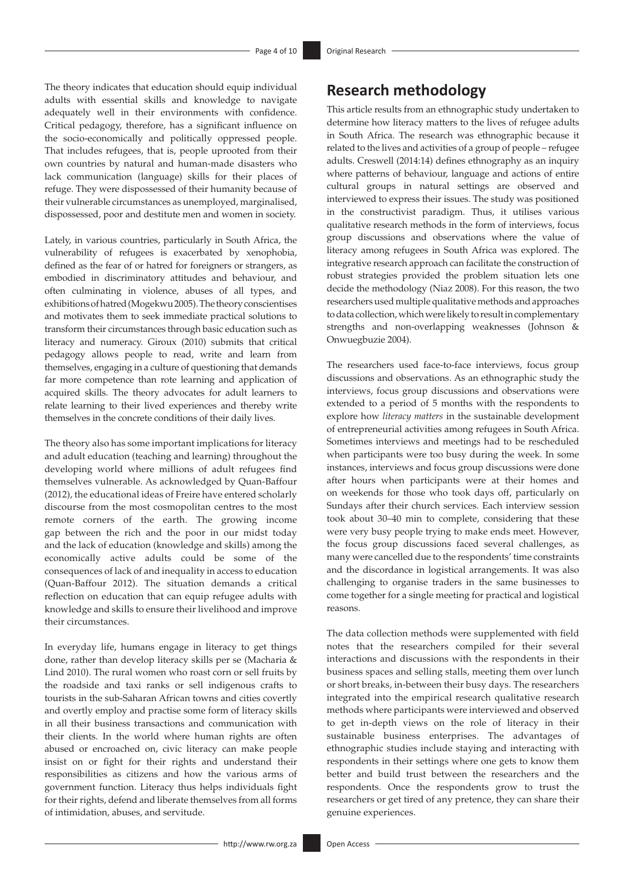The theory indicates that education should equip individual adults with essential skills and knowledge to navigate adequately well in their environments with confidence. Critical pedagogy, therefore, has a significant influence on the socio-economically and politically oppressed people. That includes refugees, that is, people uprooted from their own countries by natural and human-made disasters who lack communication (language) skills for their places of refuge. They were dispossessed of their humanity because of their vulnerable circumstances as unemployed, marginalised, dispossessed, poor and destitute men and women in society.

Lately, in various countries, particularly in South Africa, the vulnerability of refugees is exacerbated by xenophobia, defined as the fear of or hatred for foreigners or strangers, as embodied in discriminatory attitudes and behaviour, and often culminating in violence, abuses of all types, and exhibitions of hatred (Mogekwu 2005). The theory conscientises and motivates them to seek immediate practical solutions to transform their circumstances through basic education such as literacy and numeracy. Giroux (2010) submits that critical pedagogy allows people to read, write and learn from themselves, engaging in a culture of questioning that demands far more competence than rote learning and application of acquired skills. The theory advocates for adult learners to relate learning to their lived experiences and thereby write themselves in the concrete conditions of their daily lives.

The theory also has some important implications for literacy and adult education (teaching and learning) throughout the developing world where millions of adult refugees find themselves vulnerable. As acknowledged by Quan-Baffour (2012), the educational ideas of Freire have entered scholarly discourse from the most cosmopolitan centres to the most remote corners of the earth. The growing income gap between the rich and the poor in our midst today and the lack of education (knowledge and skills) among the economically active adults could be some of the consequences of lack of and inequality in access to education (Quan-Baffour 2012). The situation demands a critical reflection on education that can equip refugee adults with knowledge and skills to ensure their livelihood and improve their circumstances.

In everyday life, humans engage in literacy to get things done, rather than develop literacy skills per se (Macharia & Lind 2010). The rural women who roast corn or sell fruits by the roadside and taxi ranks or sell indigenous crafts to tourists in the sub-Saharan African towns and cities covertly and overtly employ and practise some form of literacy skills in all their business transactions and communication with their clients. In the world where human rights are often abused or encroached on, civic literacy can make people insist on or fight for their rights and understand their responsibilities as citizens and how the various arms of government function. Literacy thus helps individuals fight for their rights, defend and liberate themselves from all forms of intimidation, abuses, and servitude.

## **Research methodology**

This article results from an ethnographic study undertaken to determine how literacy matters to the lives of refugee adults in South Africa. The research was ethnographic because it related to the lives and activities of a group of people – refugee adults. Creswell (2014:14) defines ethnography as an inquiry where patterns of behaviour, language and actions of entire cultural groups in natural settings are observed and interviewed to express their issues. The study was positioned in the constructivist paradigm. Thus, it utilises various qualitative research methods in the form of interviews, focus group discussions and observations where the value of literacy among refugees in South Africa was explored. The integrative research approach can facilitate the construction of robust strategies provided the problem situation lets one decide the methodology (Niaz 2008). For this reason, the two researchers used multiple qualitative methods and approaches to data collection, which were likely to result in complementary strengths and non-overlapping weaknesses (Johnson & Onwuegbuzie 2004).

The researchers used face-to-face interviews, focus group discussions and observations. As an ethnographic study the interviews, focus group discussions and observations were extended to a period of 5 months with the respondents to explore how *literacy matters* in the sustainable development of entrepreneurial activities among refugees in South Africa. Sometimes interviews and meetings had to be rescheduled when participants were too busy during the week. In some instances, interviews and focus group discussions were done after hours when participants were at their homes and on weekends for those who took days off, particularly on Sundays after their church services. Each interview session took about 30–40 min to complete, considering that these were very busy people trying to make ends meet. However, the focus group discussions faced several challenges, as many were cancelled due to the respondents' time constraints and the discordance in logistical arrangements. It was also challenging to organise traders in the same businesses to come together for a single meeting for practical and logistical reasons.

The data collection methods were supplemented with field notes that the researchers compiled for their several interactions and discussions with the respondents in their business spaces and selling stalls, meeting them over lunch or short breaks, in-between their busy days. The researchers integrated into the empirical research qualitative research methods where participants were interviewed and observed to get in-depth views on the role of literacy in their sustainable business enterprises. The advantages of ethnographic studies include staying and interacting with respondents in their settings where one gets to know them better and build trust between the researchers and the respondents. Once the respondents grow to trust the researchers or get tired of any pretence, they can share their genuine experiences.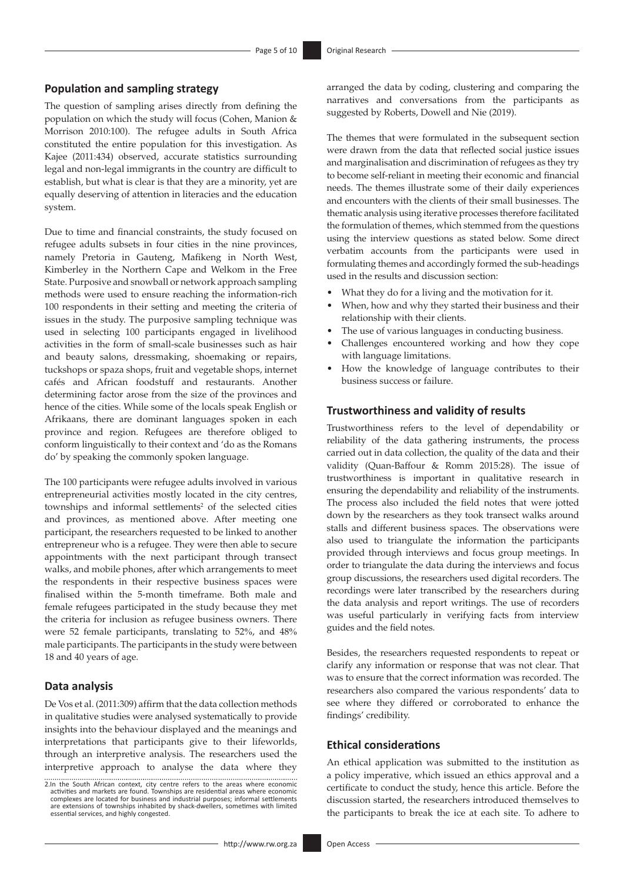#### **Population and sampling strategy**

The question of sampling arises directly from defining the population on which the study will focus (Cohen, Manion & Morrison 2010:100). The refugee adults in South Africa constituted the entire population for this investigation. As Kajee (2011:434) observed, accurate statistics surrounding legal and non-legal immigrants in the country are difficult to establish, but what is clear is that they are a minority, yet are equally deserving of attention in literacies and the education system.

Due to time and financial constraints, the study focused on refugee adults subsets in four cities in the nine provinces, namely Pretoria in Gauteng, Mafikeng in North West, Kimberley in the Northern Cape and Welkom in the Free State. Purposive and snowball or network approach sampling methods were used to ensure reaching the information-rich 100 respondents in their setting and meeting the criteria of issues in the study. The purposive sampling technique was used in selecting 100 participants engaged in livelihood activities in the form of small-scale businesses such as hair and beauty salons, dressmaking, shoemaking or repairs, tuckshops or spaza shops, fruit and vegetable shops, internet cafés and African foodstuff and restaurants. Another determining factor arose from the size of the provinces and hence of the cities. While some of the locals speak English or Afrikaans, there are dominant languages spoken in each province and region. Refugees are therefore obliged to conform linguistically to their context and 'do as the Romans do' by speaking the commonly spoken language.

The 100 participants were refugee adults involved in various entrepreneurial activities mostly located in the city centres, townships and informal settlements<sup>2</sup> of the selected cities and provinces, as mentioned above. After meeting one participant, the researchers requested to be linked to another entrepreneur who is a refugee. They were then able to secure appointments with the next participant through transect walks, and mobile phones, after which arrangements to meet the respondents in their respective business spaces were finalised within the 5-month timeframe. Both male and female refugees participated in the study because they met the criteria for inclusion as refugee business owners. There were 52 female participants, translating to 52%, and 48% male participants. The participants in the study were between 18 and 40 years of age.

### **Data analysis**

De Vos et al. (2011:309) affirm that the data collection methods in qualitative studies were analysed systematically to provide insights into the behaviour displayed and the meanings and interpretations that participants give to their lifeworlds, through an interpretive analysis. The researchers used the interpretive approach to analyse the data where they

arranged the data by coding, clustering and comparing the narratives and conversations from the participants as suggested by Roberts, Dowell and Nie (2019).

The themes that were formulated in the subsequent section were drawn from the data that reflected social justice issues and marginalisation and discrimination of refugees as they try to become self-reliant in meeting their economic and financial needs. The themes illustrate some of their daily experiences and encounters with the clients of their small businesses. The thematic analysis using iterative processes therefore facilitated the formulation of themes, which stemmed from the questions using the interview questions as stated below. Some direct verbatim accounts from the participants were used in formulating themes and accordingly formed the sub-headings used in the results and discussion section:

- What they do for a living and the motivation for it.
- When, how and why they started their business and their relationship with their clients.
- The use of various languages in conducting business.
- Challenges encountered working and how they cope with language limitations.
- How the knowledge of language contributes to their business success or failure.

### **Trustworthiness and validity of results**

Trustworthiness refers to the level of dependability or reliability of the data gathering instruments, the process carried out in data collection, the quality of the data and their validity (Quan-Baffour & Romm 2015:28). The issue of trustworthiness is important in qualitative research in ensuring the dependability and reliability of the instruments. The process also included the field notes that were jotted down by the researchers as they took transect walks around stalls and different business spaces. The observations were also used to triangulate the information the participants provided through interviews and focus group meetings. In order to triangulate the data during the interviews and focus group discussions, the researchers used digital recorders. The recordings were later transcribed by the researchers during the data analysis and report writings. The use of recorders was useful particularly in verifying facts from interview guides and the field notes.

Besides, the researchers requested respondents to repeat or clarify any information or response that was not clear. That was to ensure that the correct information was recorded. The researchers also compared the various respondents' data to see where they differed or corroborated to enhance the findings' credibility.

#### **Ethical considerations**

An ethical application was submitted to the institution as a policy imperative, which issued an ethics approval and a certificate to conduct the study, hence this article. Before the discussion started, the researchers introduced themselves to the participants to break the ice at each site. To adhere to

<sup>2.</sup>In the South African context, city centre refers to the areas where economic.<br>activities and markets are found. Townships are residential areas where economic<br>complexes are located for business and industrial purposes; i are extensions of townships inhabited by shack-dwellers, sometimes with limited essential services, and highly congested.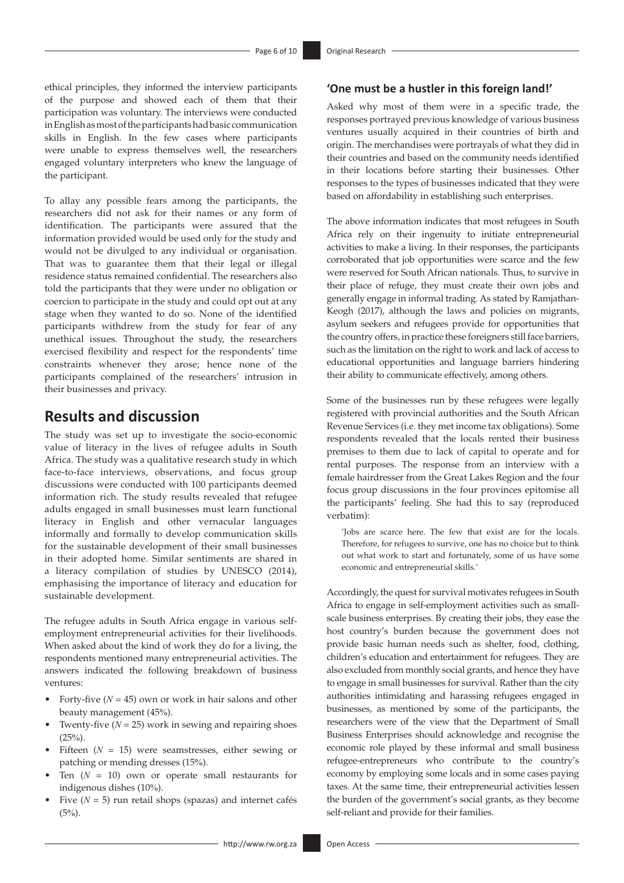ethical principles, they informed the interview participants of the purpose and showed each of them that their participation was voluntary. The interviews were conducted in English as most of the participants had basic communication skills in English. In the few cases where participants were unable to express themselves well, the researchers engaged voluntary interpreters who knew the language of the participant.

To allay any possible fears among the participants, the researchers did not ask for their names or any form of identification. The participants were assured that the information provided would be used only for the study and would not be divulged to any individual or organisation. That was to guarantee them that their legal or illegal residence status remained confidential. The researchers also told the participants that they were under no obligation or coercion to participate in the study and could opt out at any stage when they wanted to do so. None of the identified participants withdrew from the study for fear of any unethical issues. Throughout the study, the researchers exercised flexibility and respect for the respondents' time constraints whenever they arose; hence none of the participants complained of the researchers' intrusion in their businesses and privacy.

### **Results and discussion**

The study was set up to investigate the socio-economic value of literacy in the lives of refugee adults in South Africa. The study was a qualitative research study in which face-to-face interviews, observations, and focus group discussions were conducted with 100 participants deemed information rich. The study results revealed that refugee adults engaged in small businesses must learn functional literacy in English and other vernacular languages informally and formally to develop communication skills for the sustainable development of their small businesses in their adopted home. Similar sentiments are shared in a literacy compilation of studies by UNESCO (2014), emphasising the importance of literacy and education for sustainable development.

The refugee adults in South Africa engage in various selfemployment entrepreneurial activities for their livelihoods. When asked about the kind of work they do for a living, the respondents mentioned many entrepreneurial activities. The answers indicated the following breakdown of business ventures:

- Forty-five  $(N = 45)$  own or work in hair salons and other beauty management (45%).
- Twenty-five  $(N = 25)$  work in sewing and repairing shoes  $(25%)$ .
- Fifteen  $(N = 15)$  were seamstresses, either sewing or patching or mending dresses (15%).
- Ten  $(N = 10)$  own or operate small restaurants for indigenous dishes (10%).
- Five  $(N = 5)$  run retail shops (spazas) and internet cafés  $(5%)$ .

### **'One must be a hustler in this foreign land!'**

Asked why most of them were in a specific trade, the responses portrayed previous knowledge of various business ventures usually acquired in their countries of birth and origin. The merchandises were portrayals of what they did in their countries and based on the community needs identified in their locations before starting their businesses. Other responses to the types of businesses indicated that they were based on affordability in establishing such enterprises.

The above information indicates that most refugees in South Africa rely on their ingenuity to initiate entrepreneurial activities to make a living. In their responses, the participants corroborated that job opportunities were scarce and the few were reserved for South African nationals. Thus, to survive in their place of refuge, they must create their own jobs and generally engage in informal trading. As stated by Ramjathan-Keogh (2017), although the laws and policies on migrants, asylum seekers and refugees provide for opportunities that the country offers, in practice these foreigners still face barriers, such as the limitation on the right to work and lack of access to educational opportunities and language barriers hindering their ability to communicate effectively, among others.

Some of the businesses run by these refugees were legally registered with provincial authorities and the South African Revenue Services (i.e. they met income tax obligations). Some respondents revealed that the locals rented their business premises to them due to lack of capital to operate and for rental purposes. The response from an interview with a female hairdresser from the Great Lakes Region and the four focus group discussions in the four provinces epitomise all the participants' feeling. She had this to say (reproduced verbatim):

'Jobs are scarce here. The few that exist are for the locals. Therefore, for refugees to survive, one has no choice but to think out what work to start and fortunately, some of us have some economic and entrepreneurial skills.'

Accordingly, the quest for survival motivates refugees in South Africa to engage in self-employment activities such as smallscale business enterprises. By creating their jobs, they ease the host country's burden because the government does not provide basic human needs such as shelter, food, clothing, children's education and entertainment for refugees. They are also excluded from monthly social grants, and hence they have to engage in small businesses for survival. Rather than the city authorities intimidating and harassing refugees engaged in businesses, as mentioned by some of the participants, the researchers were of the view that the Department of Small Business Enterprises should acknowledge and recognise the economic role played by these informal and small business refugee-entrepreneurs who contribute to the country's economy by employing some locals and in some cases paying taxes. At the same time, their entrepreneurial activities lessen the burden of the government's social grants, as they become self-reliant and provide for their families.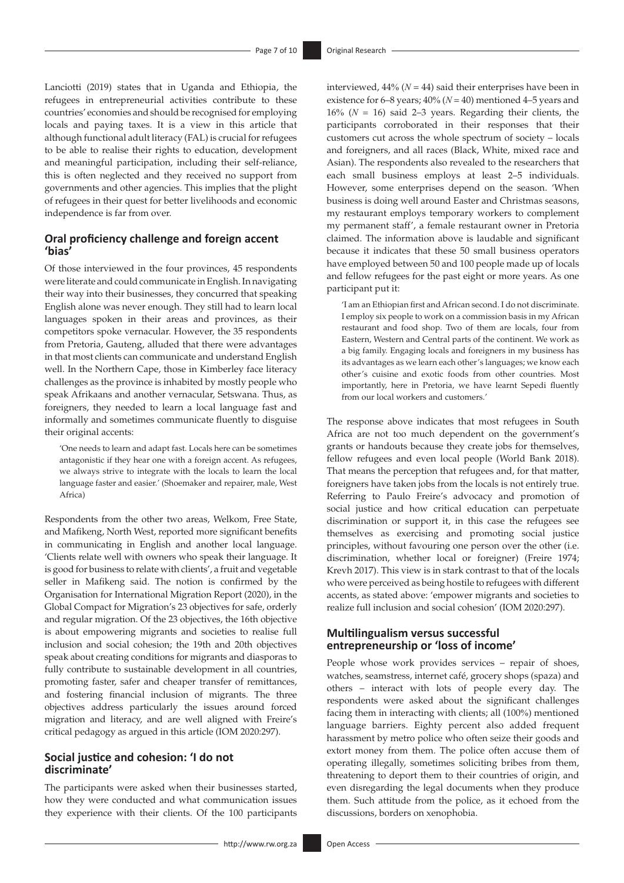Lanciotti (2019) states that in Uganda and Ethiopia, the refugees in entrepreneurial activities contribute to these countries' economies and should be recognised for employing locals and paying taxes. It is a view in this article that although functional adult literacy (FAL) is crucial for refugees to be able to realise their rights to education, development and meaningful participation, including their self-reliance, this is often neglected and they received no support from governments and other agencies. This implies that the plight of refugees in their quest for better livelihoods and economic independence is far from over.

### **Oral proficiency challenge and foreign accent 'bias'**

Of those interviewed in the four provinces, 45 respondents were literate and could communicate in English. In navigating their way into their businesses, they concurred that speaking English alone was never enough. They still had to learn local languages spoken in their areas and provinces, as their competitors spoke vernacular. However, the 35 respondents from Pretoria, Gauteng, alluded that there were advantages in that most clients can communicate and understand English well. In the Northern Cape, those in Kimberley face literacy challenges as the province is inhabited by mostly people who speak Afrikaans and another vernacular, Setswana. Thus, as foreigners, they needed to learn a local language fast and informally and sometimes communicate fluently to disguise their original accents:

'One needs to learn and adapt fast*.* Locals here can be sometimes antagonistic if they hear one with a foreign accent. As refugees, we always strive to integrate with the locals to learn the local language faster and easier.' (Shoemaker and repairer, male, West Africa)

Respondents from the other two areas, Welkom, Free State, and Mafikeng, North West, reported more significant benefits in communicating in English and another local language. 'Clients relate well with owners who speak their language. It is good for business to relate with clients', a fruit and vegetable seller in Mafikeng said. The notion is confirmed by the Organisation for International Migration Report (2020), in the Global Compact for Migration's 23 objectives for safe, orderly and regular migration. Of the 23 objectives, the 16th objective is about empowering migrants and societies to realise full inclusion and social cohesion; the 19th and 20th objectives speak about creating conditions for migrants and diasporas to fully contribute to sustainable development in all countries, promoting faster, safer and cheaper transfer of remittances, and fostering financial inclusion of migrants. The three objectives address particularly the issues around forced migration and literacy, and are well aligned with Freire's critical pedagogy as argued in this article (IOM 2020:297).

#### **Social justice and cohesion: 'I do not discriminate'**

The participants were asked when their businesses started, how they were conducted and what communication issues they experience with their clients. Of the 100 participants interviewed,  $44\%$  ( $N = 44$ ) said their enterprises have been in existence for 6–8 years; 40% (*N* = 40) mentioned 4–5 years and 16% ( $N = 16$ ) said 2–3 years. Regarding their clients, the participants corroborated in their responses that their customers cut across the whole spectrum of society – locals and foreigners, and all races (Black, White, mixed race and Asian). The respondents also revealed to the researchers that each small business employs at least 2–5 individuals. However, some enterprises depend on the season. 'When business is doing well around Easter and Christmas seasons, my restaurant employs temporary workers to complement my permanent staff', a female restaurant owner in Pretoria claimed. The information above is laudable and significant because it indicates that these 50 small business operators have employed between 50 and 100 people made up of locals and fellow refugees for the past eight or more years. As one participant put it:

'I am an Ethiopian first and African second. I do not discriminate. I employ six people to work on a commission basis in my African restaurant and food shop. Two of them are locals, four from Eastern, Western and Central parts of the continent. We work as a big family. Engaging locals and foreigners in my business has its advantages as we learn each other's languages; we know each other's cuisine and exotic foods from other countries. Most importantly, here in Pretoria, we have learnt Sepedi fluently from our local workers and customers.'

The response above indicates that most refugees in South Africa are not too much dependent on the government's grants or handouts because they create jobs for themselves, fellow refugees and even local people (World Bank 2018). That means the perception that refugees and, for that matter, foreigners have taken jobs from the locals is not entirely true. Referring to Paulo Freire's advocacy and promotion of social justice and how critical education can perpetuate discrimination or support it, in this case the refugees see themselves as exercising and promoting social justice principles, without favouring one person over the other (i.e. discrimination, whether local or foreigner) (Freire 1974; Krevh 2017). This view is in stark contrast to that of the locals who were perceived as being hostile to refugees with different accents, as stated above: 'empower migrants and societies to realize full inclusion and social cohesion' (IOM 2020:297).

### **Multilingualism versus successful entrepreneurship or 'loss of income'**

People whose work provides services – repair of shoes, watches, seamstress, internet café, grocery shops (spaza) and others – interact with lots of people every day. The respondents were asked about the significant challenges facing them in interacting with clients; all (100%) mentioned language barriers. Eighty percent also added frequent harassment by metro police who often seize their goods and extort money from them. The police often accuse them of operating illegally, sometimes soliciting bribes from them, threatening to deport them to their countries of origin, and even disregarding the legal documents when they produce them. Such attitude from the police, as it echoed from the discussions, borders on xenophobia.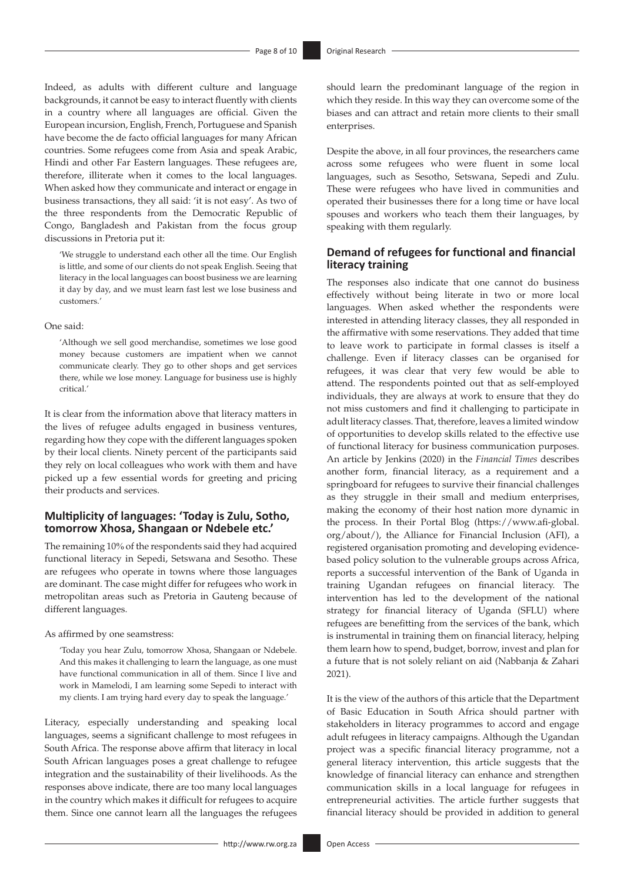Indeed, as adults with different culture and language backgrounds, it cannot be easy to interact fluently with clients in a country where all languages are official. Given the European incursion, English, French, Portuguese and Spanish have become the de facto official languages for many African countries. Some refugees come from Asia and speak Arabic, Hindi and other Far Eastern languages. These refugees are, therefore, illiterate when it comes to the local languages. When asked how they communicate and interact or engage in business transactions, they all said: 'it is not easy'. As two of the three respondents from the Democratic Republic of Congo, Bangladesh and Pakistan from the focus group discussions in Pretoria put it:

'We struggle to understand each other all the time. Our English is little, and some of our clients do not speak English. Seeing that literacy in the local languages can boost business we are learning it day by day, and we must learn fast lest we lose business and customers.'

#### One said:

'Although we sell good merchandise, sometimes we lose good money because customers are impatient when we cannot communicate clearly. They go to other shops and get services there, while we lose money. Language for business use is highly critical.'

It is clear from the information above that literacy matters in the lives of refugee adults engaged in business ventures, regarding how they cope with the different languages spoken by their local clients. Ninety percent of the participants said they rely on local colleagues who work with them and have picked up a few essential words for greeting and pricing their products and services.

### **Multiplicity of languages: 'Today is Zulu, Sotho, tomorrow Xhosa, Shangaan or Ndebele etc.'**

The remaining 10% of the respondents said they had acquired functional literacy in Sepedi, Setswana and Sesotho. These are refugees who operate in towns where those languages are dominant. The case might differ for refugees who work in metropolitan areas such as Pretoria in Gauteng because of different languages.

#### As affirmed by one seamstress:

'Today you hear Zulu, tomorrow Xhosa, Shangaan or Ndebele. And this makes it challenging to learn the language, as one must have functional communication in all of them. Since I live and work in Mamelodi, I am learning some Sepedi to interact with my clients. I am trying hard every day to speak the language.'

Literacy, especially understanding and speaking local languages, seems a significant challenge to most refugees in South Africa. The response above affirm that literacy in local South African languages poses a great challenge to refugee integration and the sustainability of their livelihoods. As the responses above indicate, there are too many local languages in the country which makes it difficult for refugees to acquire them. Since one cannot learn all the languages the refugees

should learn the predominant language of the region in which they reside. In this way they can overcome some of the biases and can attract and retain more clients to their small enterprises.

Despite the above, in all four provinces, the researchers came across some refugees who were fluent in some local languages, such as Sesotho, Setswana, Sepedi and Zulu. These were refugees who have lived in communities and operated their businesses there for a long time or have local spouses and workers who teach them their languages, by speaking with them regularly.

### **Demand of refugees for functional and financial literacy training**

The responses also indicate that one cannot do business effectively without being literate in two or more local languages. When asked whether the respondents were interested in attending literacy classes, they all responded in the affirmative with some reservations. They added that time to leave work to participate in formal classes is itself a challenge. Even if literacy classes can be organised for refugees, it was clear that very few would be able to attend. The respondents pointed out that as self-employed individuals, they are always at work to ensure that they do not miss customers and find it challenging to participate in adult literacy classes. That, therefore, leaves a limited window of opportunities to develop skills related to the effective use of functional literacy for business communication purposes. An article by Jenkins (2020) in the *Financial Times* describes another form, financial literacy, as a requirement and a springboard for refugees to survive their financial challenges as they struggle in their small and medium enterprises, making the economy of their host nation more dynamic in the process. In their Portal Blog ([https://www.afi-global.](https://www.afi-global.org/about/) [org/about/\)](https://www.afi-global.org/about/), the Alliance for Financial Inclusion (AFI), a registered organisation promoting and developing evidencebased policy solution to the vulnerable groups across Africa, reports a successful intervention of the Bank of Uganda in training Ugandan refugees on financial literacy. The intervention has led to the development of the national strategy for financial literacy of Uganda (SFLU) where refugees are benefitting from the services of the bank, which is instrumental in training them on financial literacy, helping them learn how to spend, budget, borrow, invest and plan for a future that is not solely reliant on aid (Nabbanja & Zahari 2021).

It is the view of the authors of this article that the Department of Basic Education in South Africa should partner with stakeholders in literacy programmes to accord and engage adult refugees in literacy campaigns. Although the Ugandan project was a specific financial literacy programme, not a general literacy intervention, this article suggests that the knowledge of financial literacy can enhance and strengthen communication skills in a local language for refugees in entrepreneurial activities. The article further suggests that financial literacy should be provided in addition to general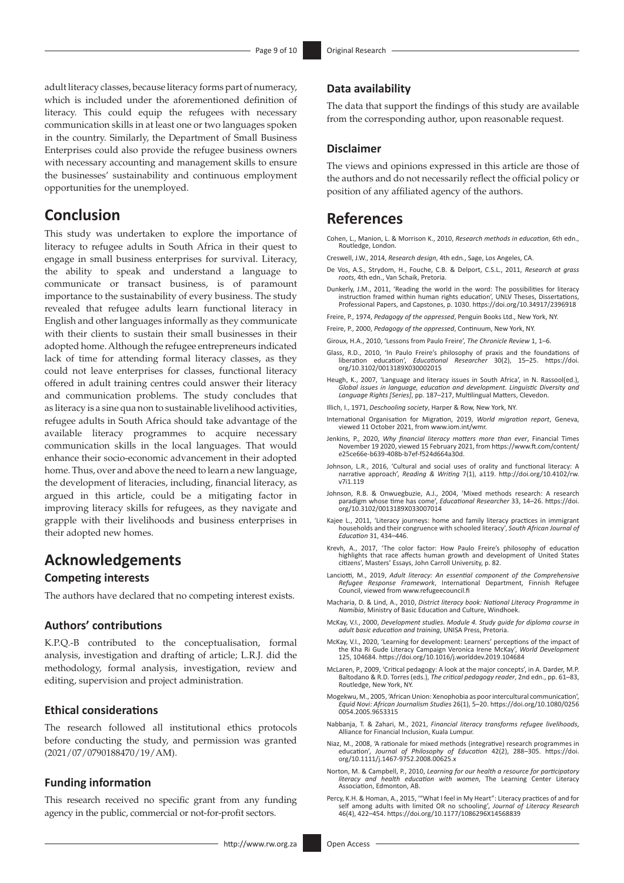adult literacy classes, because literacy forms part of numeracy, which is included under the aforementioned definition of literacy. This could equip the refugees with necessary communication skills in at least one or two languages spoken in the country. Similarly, the Department of Small Business Enterprises could also provide the refugee business owners with necessary accounting and management skills to ensure the businesses' sustainability and continuous employment opportunities for the unemployed.

## **Conclusion**

This study was undertaken to explore the importance of literacy to refugee adults in South Africa in their quest to engage in small business enterprises for survival. Literacy, the ability to speak and understand a language to communicate or transact business, is of paramount importance to the sustainability of every business. The study revealed that refugee adults learn functional literacy in English and other languages informally as they communicate with their clients to sustain their small businesses in their adopted home. Although the refugee entrepreneurs indicated lack of time for attending formal literacy classes, as they could not leave enterprises for classes, functional literacy offered in adult training centres could answer their literacy and communication problems. The study concludes that as literacy is a sine qua non to sustainable livelihood activities, refugee adults in South Africa should take advantage of the available literacy programmes to acquire necessary communication skills in the local languages. That would enhance their socio-economic advancement in their adopted home. Thus, over and above the need to learn a new language, the development of literacies, including, financial literacy, as argued in this article, could be a mitigating factor in improving literacy skills for refugees, as they navigate and grapple with their livelihoods and business enterprises in their adopted new homes.

### **Acknowledgements**

#### **Competing interests**

The authors have declared that no competing interest exists.

### **Authors' contributions**

K.P.Q.-B contributed to the conceptualisation, formal analysis, investigation and drafting of article; L.R.J. did the methodology, formal analysis, investigation, review and editing, supervision and project administration.

#### **Ethical considerations**

The research followed all institutional ethics protocols before conducting the study, and permission was granted (2021/07/0790188470/19/AM).

#### **Funding information**

This research received no specific grant from any funding agency in the public, commercial or not-for-profit sectors.

#### **Data availability**

The data that support the findings of this study are available from the corresponding author, upon reasonable request.

#### **Disclaimer**

The views and opinions expressed in this article are those of the authors and do not necessarily reflect the official policy or position of any affiliated agency of the authors.

## **References**

- Cohen, L., Manion, L. & Morrison K., 2010, *Research methods in education*, 6th edn., Routledge, London.
- Creswell, J.W., 2014, *Research design*, 4th edn., Sage, Los Angeles, CA.
- De Vos, A.S., Strydom, H., Fouche, C.B. & Delport, C.S.L., 2011, *Research at grass roots*, 4th edn., Van Schaik, Pretoria.
- Dunkerly, J.M., 2011, 'Reading the world in the word: The possibilities for literacy instruction framed within human rights education', UNLV Theses, Dissertations, Professional Papers, and Capstones, p. 1030.<https://doi.org/10.34917/2396918>
- Freire, P., 1974, *Pedagogy of the oppressed*, Penguin Books Ltd., New York, NY.
- Freire, P., 2000, *Pedagogy of the oppressed*, Continuum, New York, NY.
- Giroux, H.A., 2010, 'Lessons from Paulo Freire', *The Chronicle Review* 1, 1–6.
- Glass, R.D., 2010, 'In Paulo Freire's philosophy of praxis and the foundations of liberation education', *Educational Researcher* 30(2), 15–25. [https://doi.](https://doi.org/10.3102/0013189X030002015) [org/10.3102/0013189X030002015](https://doi.org/10.3102/0013189X030002015)
- Heugh, K., 2007, 'Language and literacy issues in South Africa', in N. Rassool(ed.), *Global issues in language, education and development. Linguistic Diversity and Language Rights [Series]*, pp. 187–217, Multilingual Matters, Clevedon.
- Illich, I., 1971, *Deschooling society*, Harper & Row, New York, NY.
- International Organisation for Migration, 2019, *World migration report*, Geneva, viewed 11 October 2021, from [www.iom.int/wmr.](http://www.iom.int/wmr)
- Jenkins, P., 2020, *Why financial literacy matters more than ever*, Financial Times November 19 2020, viewed 15 February 2021, from [https://www.ft.com/content/](https://www.ft.com/content/e25ce66e-b639-408b-b7ef-f524d664a30d) [e25ce66e-b639-408b-b7ef-f524d664a30d.](https://www.ft.com/content/e25ce66e-b639-408b-b7ef-f524d664a30d)
- Johnson, L.R., 2016, 'Cultural and social uses of orality and functional literacy: A narrative approach', *Reading & Writing* 7(1), a119. [http://doi.org/10.4102/rw.](http://doi.org/10.4102/rw) v7i1.119
- Johnson, R.B. & Onwuegbuzie, A.J., 2004, 'Mixed methods research: A research paradigm whose time has come', *Educational Researcher* 33, 14–26. [https://doi.](https://doi.org/10.3102/0013189X033007014) [org/10.3102/0013189X033007014](https://doi.org/10.3102/0013189X033007014)
- Kajee L., 2011, 'Literacy journeys: home and family literacy practices in immigrant households and their congruence with schooled literacy', *South African Journal of Education* 31, 434–446.
- Krevh, A., 2017, 'The color factor: How Paulo Freire's philosophy of education highlights that race affects human growth and development of United States citizens', Masters' Essays, John Carroll University, p. 82.
- Lanciotti, M., 2019, *Adult literacy: An essential component of the Comprehensive Refugee Response Framework*, International Department, Finnish Refugee Council, viewed from [www.refugeecouncil.fi](http://www.refugeecouncil.fi)
- Macharia, D. & Lind, A., 2010, *District literacy book: National Literacy Programme in Namibia*, Ministry of Basic Education and Culture, Windhoek.
- McKay, V.I., 2000, *Development studies. Module 4. Study guide for diploma course in adult basic education and training*, UNISA Press, Pretoria.
- McKay, V.I., 2020, 'Learning for development: Learners' perceptions of the impact of the Kha Ri Gude Literacy Campaign Veronica Irene McKay', *World Development* 125, 104684. <https://doi.org/10.1016/j.worlddev.2019.104684>
- McLaren, P., 2009, 'Critical pedagogy: A look at the major concepts', in A. Darder, M.P. Baltodano & R.D. Torres (eds.), *The critical pedagogy reader*, 2nd edn., pp. 61–83, Routledge, New York, NY.
- Mogekwu, M., 2005, 'African Union: Xenophobia as poor intercultural communication', *Equid Novi: African Journalism Studies* 26(1), 5–20. [https://doi.org/10.1080/0256](https://doi.org/10.1080/02560054.2005.9653315) [0054.2005.9653315](https://doi.org/10.1080/02560054.2005.9653315)
- Nabbanja, T. & Zahari, M., 2021, *Financial literacy transforms refugee livelihoods*, Alliance for Financial Inclusion, Kuala Lumpur.
- Niaz, M., 2008, 'A rationale for mixed methods (integrative) research programmes in education', *Journal of Philosophy of Education* 42(2), 288–305. [https://doi.](https://doi.org/10.1111/j.1467-9752.2008.00625.x) [org/10.1111/j.1467-9752.2008.00625.x](https://doi.org/10.1111/j.1467-9752.2008.00625.x)
- Norton, M. & Campbell, P., 2010, *Learning for our health a resource for participatory literacy and health education with women*, The Learning Center Literacy Association, Edmonton, AB.
- Percy, K.H. & Homan, A., 2015, '"What I feel in My Heart": Literacy practices of and for self among adults with limited OR no schooling', *Journal of Literacy Research* 46(4), 422–454.<https://doi.org/10.1177/1086296X14568839>